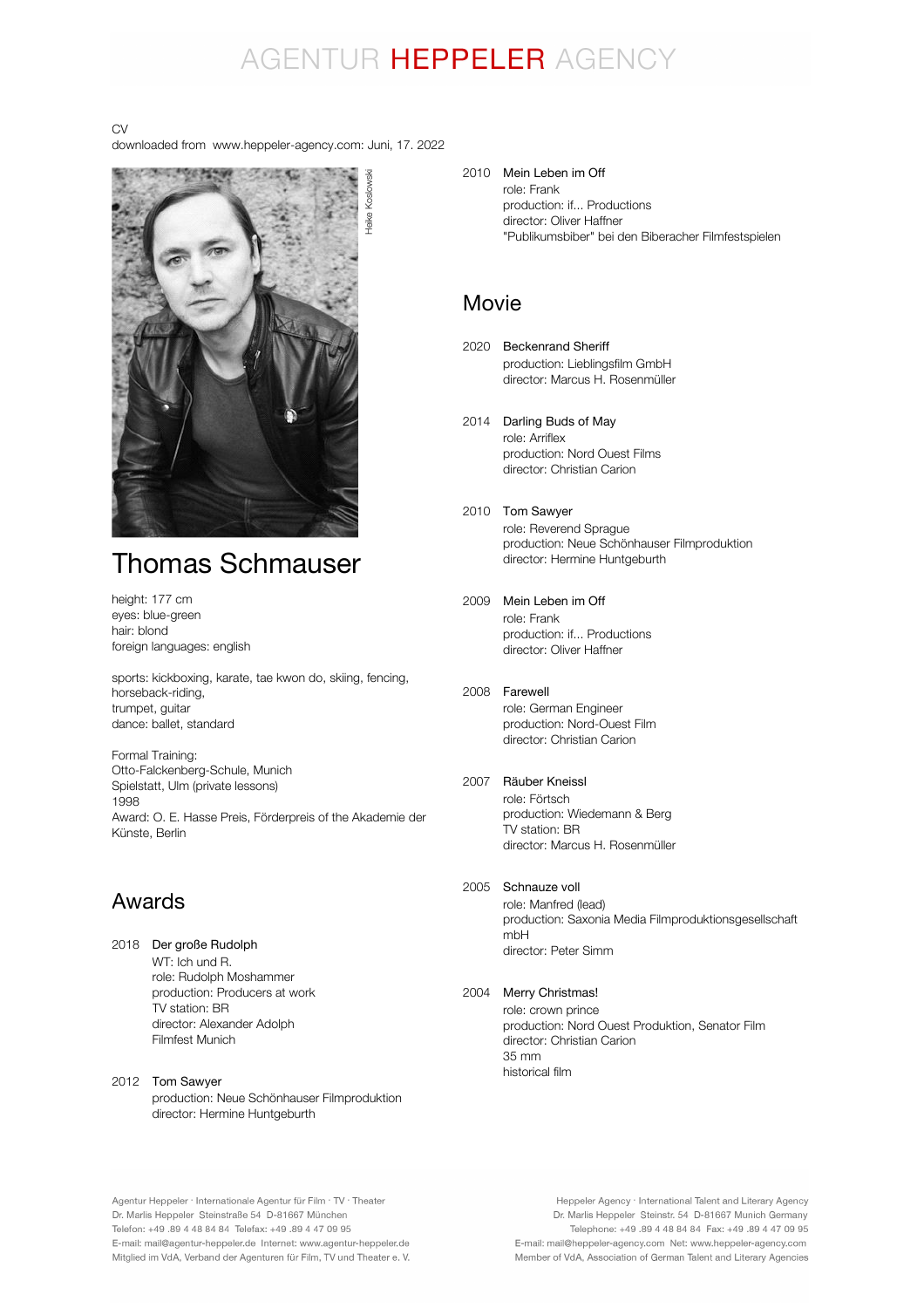# AGENTUR HEPPELER AGENCY

CV

downloaded from www.heppeler-agency.com: Juni, 17. 2022

Heike Koslowski



# Thomas Schmauser

height: 177 cm eyes: blue-green hair: blond foreign languages: english

sports: kickboxing, karate, tae kwon do, skiing, fencing, horseback-riding, trumpet, guitar dance: ballet, standard

Formal Training: Otto-Falckenberg-Schule, Munich Spielstatt, Ulm (private lessons) 1998 Award: O. E. Hasse Preis, Förderpreis of the Akademie der Künste, Berlin

### Awards

- 2018 Der große Rudolph WT: Ich und R. role: Rudolph Moshammer production: Producers at work TV station: BR director: Alexander Adolph Filmfest Munich
- 2012 Tom Sawyer production: Neue Schönhauser Filmproduktion director: Hermine Huntgeburth

2010 Mein Leben im Off role: Frank production: if... Productions director: Oliver Haffner "Publikumsbiber" bei den Biberacher Filmfestspielen

### Movie

- 2020 Beckenrand Sheriff production: Lieblingsfilm GmbH director: Marcus H. Rosenmüller
- 2014 Darling Buds of May role: Arriflex production: Nord Ouest Films director: Christian Carion
- 2010 Tom Sawyer role: Reverend Sprague production: Neue Schönhauser Filmproduktion director: Hermine Huntgeburth
- 2009 Mein Leben im Off role: Frank production: if... Productions director: Oliver Haffner

#### 2008 Farewell role: German Engineer production: Nord-Ouest Film director: Christian Carion

#### 2007 Räuber Kneissl

role: Förtsch production: Wiedemann & Berg TV station: BR director: Marcus H. Rosenmüller

#### 2005 Schnauze voll

role: Manfred (lead) production: Saxonia Media Filmproduktionsgesellschaft mbH director: Peter Simm

#### 2004 Merry Christmas!

role: crown prince production: Nord Ouest Produktion, Senator Film director: Christian Carion 35 mm historical film

Agentur Heppeler · Internationale Agentur für Film · TV · Theater Dr. Marlis Heppeler Steinstraße 54 D-81667 München Telefon: +49.89 4 48 84 84 Telefax: +49.89 4 47 09 95 E-mail: mail@agentur-heppeler.de Internet: www.agentur-heppeler.de Mitglied im VdA, Verband der Agenturen für Film, TV und Theater e. V.

Heppeler Agency · International Talent and Literary Agency Dr. Marlis Heppeler Steinstr. 54 D-81667 Munich Germany Telephone: +49 .89 4 48 84 84 Fax: +49 .89 4 47 09 95 E-mail: mail@heppeler-agency.com Net: www.heppeler-agency.com Member of VdA, Association of German Talent and Literary Agencies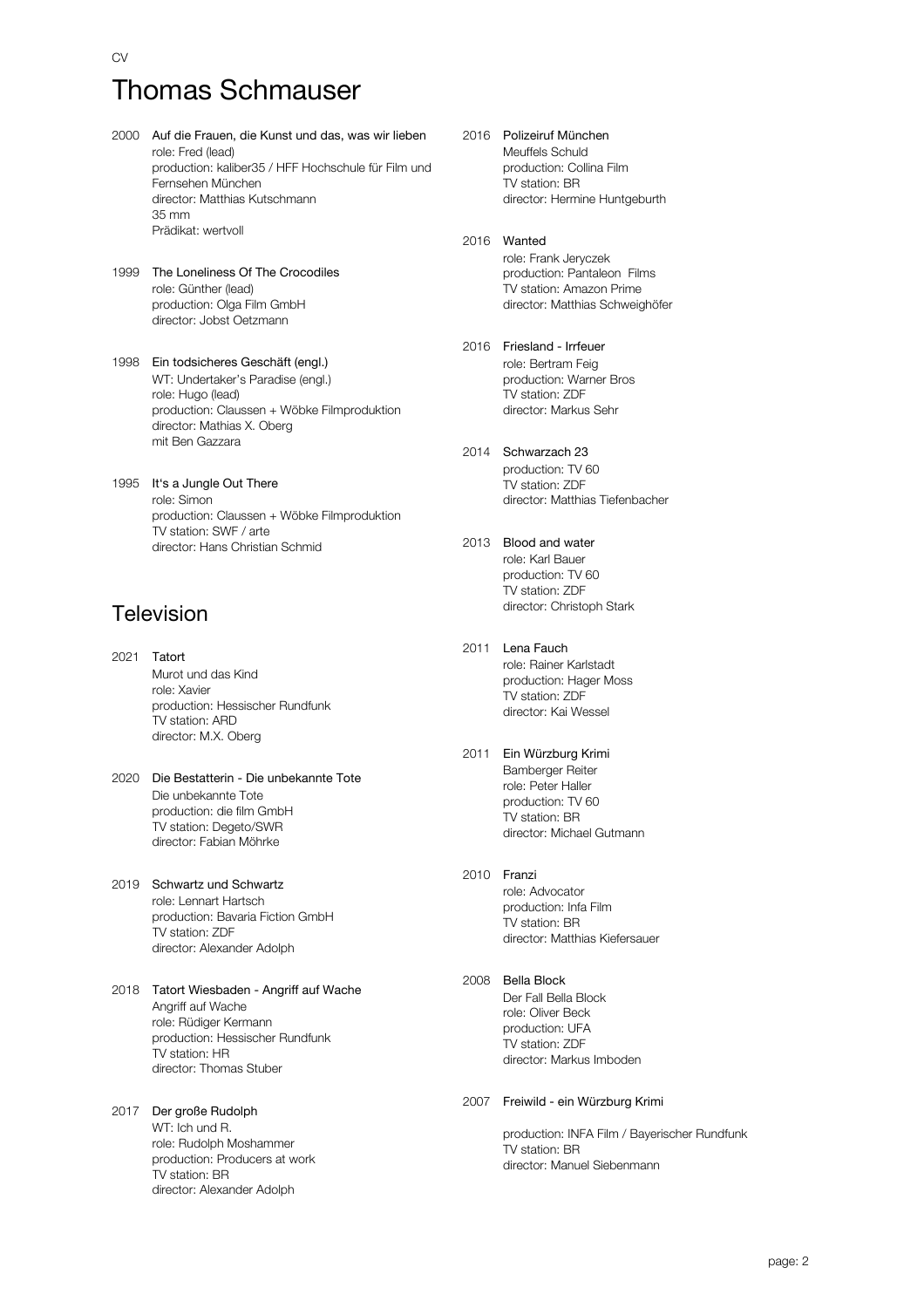# Thomas Schmauser

- 2000 Auf die Frauen, die Kunst und das, was wir lieben role: Fred (lead) production: kaliber35 / HFF Hochschule für Film und Fernsehen München director: Matthias Kutschmann 35 mm Prädikat: wertvoll
- 1999 The Loneliness Of The Crocodiles role: Günther (lead) production: Olga Film GmbH director: Jobst Oetzmann
- 1998 Ein todsicheres Geschäft (engl.) WT: Undertaker's Paradise (engl.) role: Hugo (lead) production: Claussen + Wöbke Filmproduktion director: Mathias X. Oberg mit Ben Gazzara
- 1995 It's a Jungle Out There role: Simon production: Claussen + Wöbke Filmproduktion TV station: SWF / arte director: Hans Christian Schmid

### Television

- 2021 Tatort Murot und das Kind role: Xavier production: Hessischer Rundfunk TV station: ARD director: M.X. Oberg
- 2020 Die Bestatterin Die unbekannte Tote Die unbekannte Tote production: die film GmbH TV station: Degeto/SWR director: Fabian Möhrke
- 2019 Schwartz und Schwartz role: Lennart Hartsch production: Bavaria Fiction GmbH TV station: ZDF director: Alexander Adolph
- 2018 Tatort Wiesbaden Angriff auf Wache Angriff auf Wache role: Rüdiger Kermann production: Hessischer Rundfunk TV station: HR director: Thomas Stuber
- 2017 Der große Rudolph WT: Ich und R. role: Rudolph Moshammer production: Producers at work TV station: BR director: Alexander Adolph
- 2016 Polizeiruf München Meuffels Schuld production: Collina Film TV station: BR director: Hermine Huntgeburth
- 2016 Wanted role: Frank Jeryczek production: Pantaleon Films TV station: Amazon Prime director: Matthias Schweighöfer
- 2016 Friesland Irrfeuer role: Bertram Feig production: Warner Bros TV station: ZDF director: Markus Sehr
- 2014 Schwarzach 23 production: TV 60 TV station: ZDF director: Matthias Tiefenbacher
- 2013 Blood and water role: Karl Bauer production: TV 60 TV station: ZDF director: Christoph Stark
- 2011 Lena Fauch role: Rainer Karlstadt production: Hager Moss TV station: ZDF director: Kai Wessel
- 2011 Ein Würzburg Krimi Bamberger Reiter role: Peter Haller production: TV 60 TV station: BR director: Michael Gutmann
- 2010 Franzi

role: Advocator production: Infa Film TV station: BR director: Matthias Kiefersauer

2008 Bella Block Der Fall Bella Block role: Oliver Beck production: UFA TV station: ZDF director: Markus Imboden

#### 2007 Freiwild - ein Würzburg Krimi

production: INFA Film / Bayerischer Rundfunk TV station: BR director: Manuel Siebenmann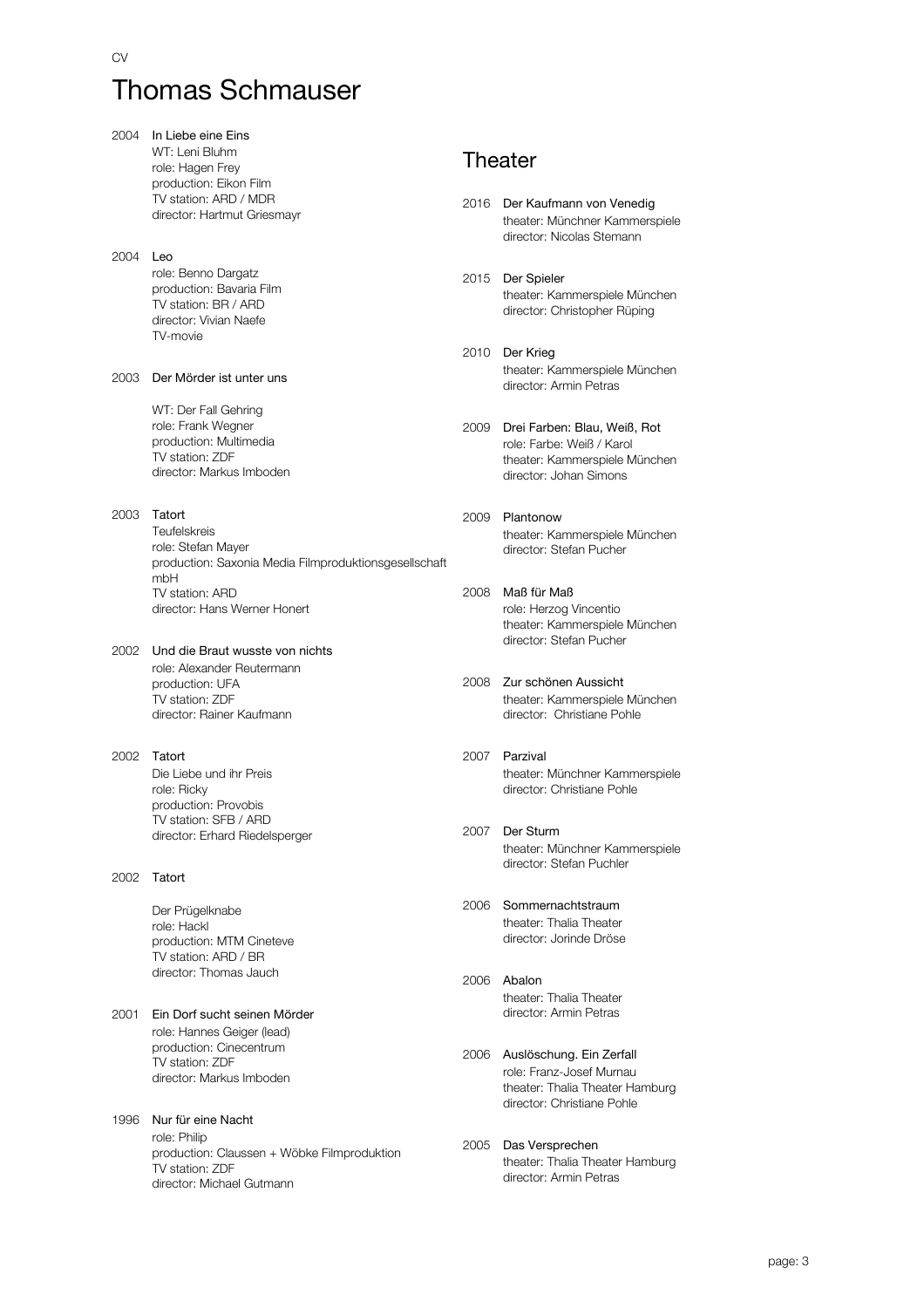# Thomas Schmauser

| 2004 | In Liebe eine Eins                                             |      |                                                            |
|------|----------------------------------------------------------------|------|------------------------------------------------------------|
|      | WT: Leni Bluhm                                                 |      | Theater                                                    |
|      | role: Hagen Frey                                               |      |                                                            |
|      | production: Eikon Film                                         |      |                                                            |
|      | TV station: ARD / MDR<br>director: Hartmut Griesmayr           |      | 2016 Der Kaufmann von Venedig                              |
|      |                                                                |      | theater: Münchner Kammerspiele                             |
|      |                                                                |      | director: Nicolas Stemann                                  |
| 2004 | Leo                                                            |      |                                                            |
|      | role: Benno Dargatz                                            | 2015 | Der Spieler                                                |
|      | production: Bavaria Film                                       |      | theater: Kammerspiele München                              |
|      | TV station: BR / ARD<br>director: Vivian Naefe                 |      | director: Christopher Rüping                               |
|      | TV-movie                                                       |      |                                                            |
|      |                                                                | 2010 | Der Krieg                                                  |
|      |                                                                |      | theater: Kammerspiele München                              |
| 2003 | Der Mörder ist unter uns                                       |      | director: Armin Petras                                     |
|      |                                                                |      |                                                            |
|      | WT: Der Fall Gehring<br>role: Frank Wegner                     |      |                                                            |
|      | production: Multimedia                                         | 2009 | Drei Farben: Blau, Weiß, Rot                               |
|      | TV station: ZDF                                                |      | role: Farbe: Weiß / Karol<br>theater: Kammerspiele München |
|      | director: Markus Imboden                                       |      | director: Johan Simons                                     |
|      |                                                                |      |                                                            |
|      | Tatort                                                         |      |                                                            |
| 2003 | <b>Teufelskreis</b>                                            | 2009 | Plantonow                                                  |
|      | role: Stefan Mayer                                             |      | theater: Kammerspiele München<br>director: Stefan Pucher   |
|      | production: Saxonia Media Filmproduktionsgesellschaft          |      |                                                            |
|      | mbH                                                            |      |                                                            |
|      | TV station: ARD                                                | 2008 | Maß für Maß                                                |
|      | director: Hans Werner Honert                                   |      | role: Herzog Vincentio                                     |
|      |                                                                |      | theater: Kammerspiele München                              |
| 2002 | Und die Braut wusste von nichts                                |      | director: Stefan Pucher                                    |
|      | role: Alexander Reutermann                                     |      |                                                            |
|      | production: UFA                                                | 2008 | Zur schönen Aussicht                                       |
|      | TV station: ZDF                                                |      | theater: Kammerspiele München                              |
|      | director: Rainer Kaufmann                                      |      | director: Christiane Pohle                                 |
|      |                                                                |      |                                                            |
| 2002 | Tatort                                                         | 2007 | Parzival                                                   |
|      | Die Liebe und ihr Preis                                        |      | theater: Münchner Kammerspiele                             |
|      | role: Ricky                                                    |      | director: Christiane Pohle                                 |
|      | production: Provobis                                           |      |                                                            |
|      | TV station: SFB / ARD                                          | 2007 | Der Sturm                                                  |
|      | director: Erhard Riedelsperger                                 |      | theater: Münchner Kammerspiele                             |
|      |                                                                |      | director: Stefan Puchler                                   |
| 2002 | Tatort                                                         |      |                                                            |
|      |                                                                | 2006 | Sommernachtstraum                                          |
|      | Der Prügelknabe                                                |      | theater: Thalia Theater                                    |
|      | role: Hackl                                                    |      | director: Jorinde Dröse                                    |
|      | production: MTM Cineteve<br>TV station: ARD / BR               |      |                                                            |
|      | director: Thomas Jauch                                         |      |                                                            |
|      |                                                                | 2006 | Abalon                                                     |
|      |                                                                |      | theater: Thalia Theater                                    |
| 2001 | Ein Dorf sucht seinen Mörder                                   |      | director: Armin Petras                                     |
|      | role: Hannes Geiger (lead)                                     |      |                                                            |
|      | production: Cinecentrum<br>TV station: ZDF                     | 2006 | Auslöschung. Ein Zerfall                                   |
|      | director: Markus Imboden                                       |      | role: Franz-Josef Murnau                                   |
|      |                                                                |      | theater: Thalia Theater Hamburg                            |
|      |                                                                |      | director: Christiane Pohle                                 |
| 1996 | Nur für eine Nacht                                             |      |                                                            |
|      | role: Philip                                                   | 2005 | Das Versprechen                                            |
|      | production: Claussen + Wöbke Filmproduktion<br>TV station: ZDF |      | theater: Thalia Theater Hamburg                            |
|      | director: Michael Gutmann                                      |      | director: Armin Petras                                     |
|      |                                                                |      |                                                            |